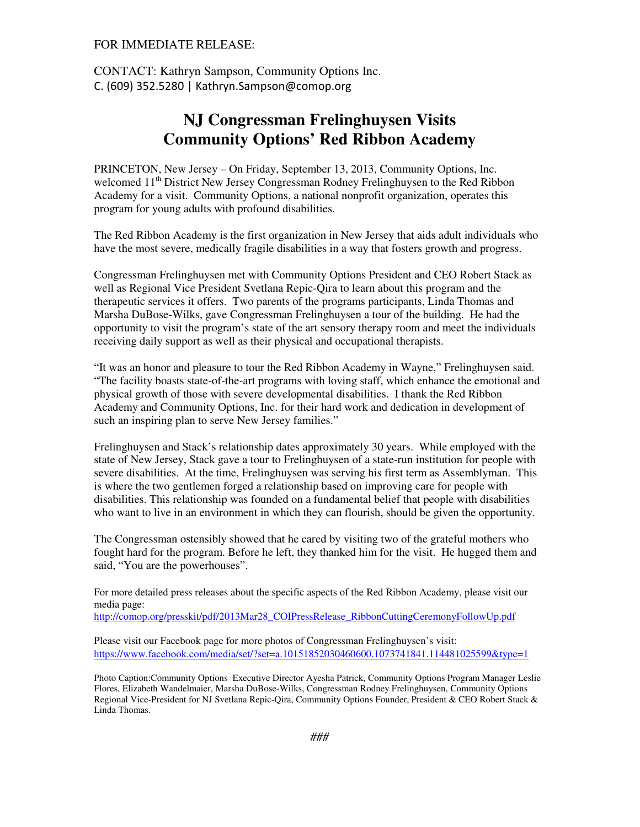## FOR IMMEDIATE RELEASE:

CONTACT: Kathryn Sampson, Community Options Inc. C. (609) 352.5280 | Kathryn.Sampson@comop.org

## **NJ Congressman Frelinghuysen Visits Community Options' Red Ribbon Academy**

PRINCETON, New Jersey – On Friday, September 13, 2013, Community Options, Inc. welcomed 11<sup>th</sup> District New Jersey Congressman Rodney Frelinghuysen to the Red Ribbon Academy for a visit. Community Options, a national nonprofit organization, operates this program for young adults with profound disabilities.

The Red Ribbon Academy is the first organization in New Jersey that aids adult individuals who have the most severe, medically fragile disabilities in a way that fosters growth and progress.

Congressman Frelinghuysen met with Community Options President and CEO Robert Stack as well as Regional Vice President Svetlana Repic-Qira to learn about this program and the therapeutic services it offers. Two parents of the programs participants, Linda Thomas and Marsha DuBose-Wilks, gave Congressman Frelinghuysen a tour of the building. He had the opportunity to visit the program's state of the art sensory therapy room and meet the individuals receiving daily support as well as their physical and occupational therapists.

"It was an honor and pleasure to tour the Red Ribbon Academy in Wayne," Frelinghuysen said. "The facility boasts state-of-the-art programs with loving staff, which enhance the emotional and physical growth of those with severe developmental disabilities. I thank the Red Ribbon Academy and Community Options, Inc. for their hard work and dedication in development of such an inspiring plan to serve New Jersey families."

Frelinghuysen and Stack's relationship dates approximately 30 years. While employed with the state of New Jersey, Stack gave a tour to Frelinghuysen of a state-run institution for people with severe disabilities. At the time, Frelinghuysen was serving his first term as Assemblyman. This is where the two gentlemen forged a relationship based on improving care for people with disabilities. This relationship was founded on a fundamental belief that people with disabilities who want to live in an environment in which they can flourish, should be given the opportunity.

The Congressman ostensibly showed that he cared by visiting two of the grateful mothers who fought hard for the program. Before he left, they thanked him for the visit. He hugged them and said, "You are the powerhouses".

For more detailed press releases about the specific aspects of the Red Ribbon Academy, please visit our media page:

http://comop.org/presskit/pdf/2013Mar28\_COIPressRelease\_RibbonCuttingCeremonyFollowUp.pdf

Please visit our Facebook page for more photos of Congressman Frelinghuysen's visit: https://www.facebook.com/media/set/?set=a.10151852030460600.1073741841.114481025599&type=1

Photo Caption:Community Options Executive Director Ayesha Patrick, Community Options Program Manager Leslie Flores, Elizabeth Wandelmaier, Marsha DuBose-Wilks, Congressman Rodney Frelinghuysen, Community Options Regional Vice-President for NJ Svetlana Repic-Qira, Community Options Founder, President & CEO Robert Stack & Linda Thomas.